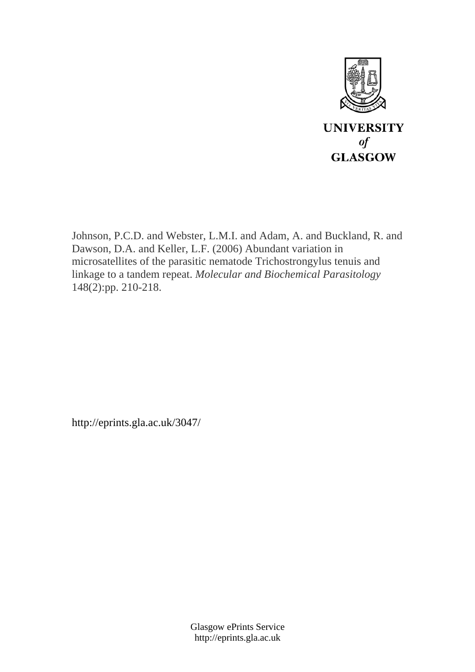

Johnson, P.C.D. and Webster, L.M.I. and Adam, A. and Buckland, R. and Dawson, D.A. and Keller, L.F. (2006) Abundant variation in microsatellites of the parasitic nematode Trichostrongylus tenuis and linkage to a tandem repeat. *Molecular and Biochemical Parasitology* 148(2):pp. 210-218.

http://eprints.gla.ac.uk/3047/

Glasgow ePrints Service http://eprints.gla.ac.uk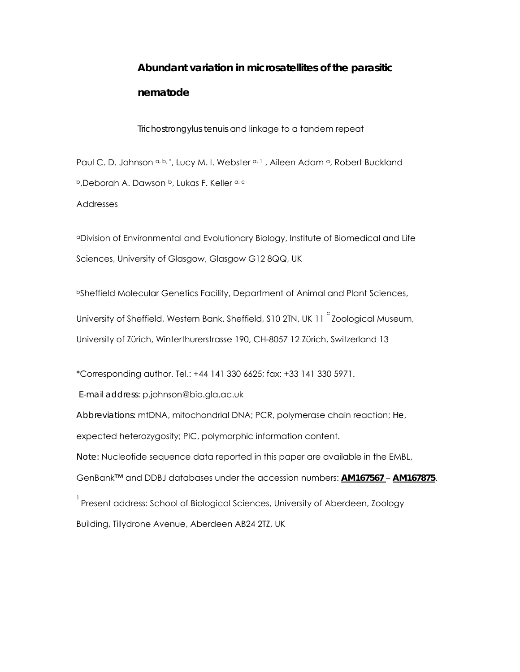# **Abundant variation in microsatellites of the parasitic nematode**

*Trichostrongylus tenuis* and linkage to a tandem repeat

Paul C. D. Johnson a, b, \*, Lucy M. I. Webster a, 1, Aileen Adam a, Robert Buckland b, Deborah A. Dawson b, Lukas F. Keller a, c

Addresses

aDivision of Environmental and Evolutionary Biology, Institute of Biomedical and Life Sciences, University of Glasgow, Glasgow G12 8QQ, UK

bSheffield Molecular Genetics Facility, Department of Animal and Plant Sciences,

University of Sheffield, Western Bank, Sheffield, S10 2TN, UK 11  $\degree$ Zoological Museum, University of Zürich, Winterthurerstrasse 190, CH-8057 12 Zürich, Switzerland 13

\*Corresponding author. Tel.: +44 141 330 6625; fax: +33 141 330 5971.

*E-mail address:* p.johnson@bio.gla.ac.uk

*Abbreviations:* mtDNA, mitochondrial DNA; PCR, polymerase chain reaction; *He*,

expected heterozygosity; PIC, polymorphic information content.

*Note:* Nucleotide sequence data reported in this paper are available in the EMBL,

GenBank™ and DDBJ databases under the accession numbers: **AM167567** – **AM167875**.

 $^{\rm ^{1}}$ Present address: School of Biological Sciences, University of Aberdeen, Zoology Building, Tillydrone Avenue, Aberdeen AB24 2TZ, UK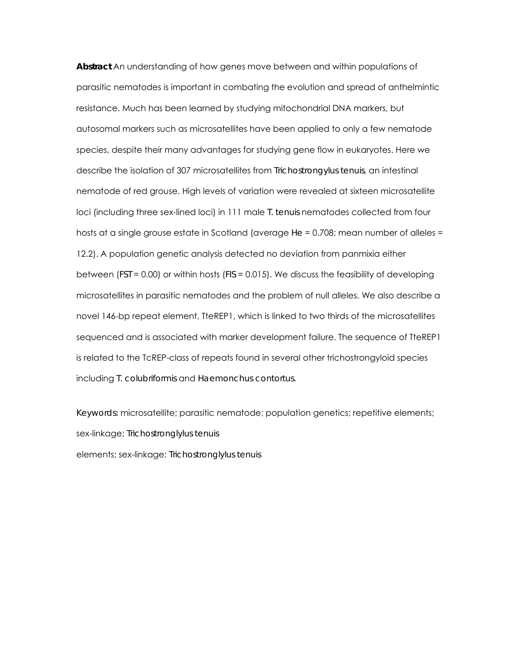**Abstract** An understanding of how genes move between and within populations of parasitic nematodes is important in combating the evolution and spread of anthelmintic resistance. Much has been learned by studying mitochondrial DNA markers, but autosomal markers such as microsatellites have been applied to only a few nematode species, despite their many advantages for studying gene flow in eukaryotes. Here we describe the isolation of 307 microsatellites from *Trichostrongylus tenuis*, an intestinal nematode of red grouse. High levels of variation were revealed at sixteen microsatellite loci (including three sex-lined loci) in 111 male *T. tenuis* nematodes collected from four hosts at a single grouse estate in Scotland (average *He* = 0.708; mean number of alleles = 12.2). A population genetic analysis detected no deviation from panmixia either between (*FST* = 0.00) or within hosts (*FIS* = 0.015). We discuss the feasibility of developing microsatellites in parasitic nematodes and the problem of null alleles. We also describe a novel 146-bp repeat element, TteREP1, which is linked to two thirds of the microsatellites sequenced and is associated with marker development failure. The sequence of TteREP1 is related to the TcREP-class of repeats found in several other trichostrongyloid species including *T. colubriformis* and *Haemonchus contortus*.

*Keywords:* microsatellite; parasitic nematode; population genetics; repetitive elements; sex-linkage; *Trichostronglylus tenuis* elements; sex-linkage; *Trichostronglylus tenuis*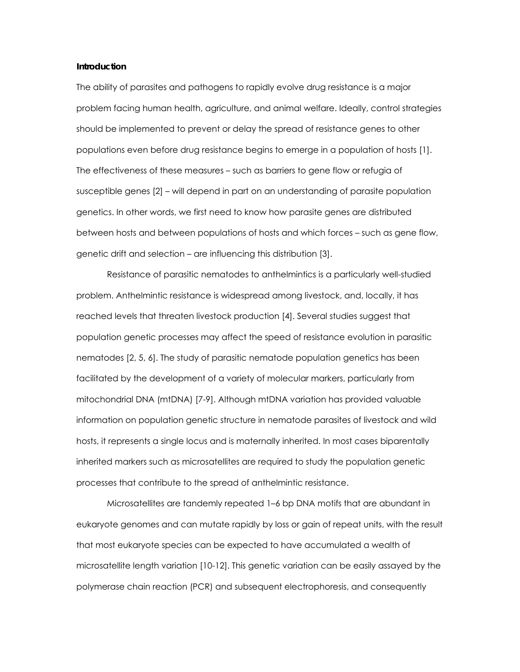#### **Introduction**

The ability of parasites and pathogens to rapidly evolve drug resistance is a major problem facing human health, agriculture, and animal welfare. Ideally, control strategies should be implemented to prevent or delay the spread of resistance genes to other populations even before drug resistance begins to emerge in a population of hosts [1]. The effectiveness of these measures – such as barriers to gene flow or refugia of susceptible genes [2] – will depend in part on an understanding of parasite population genetics. In other words, we first need to know how parasite genes are distributed between hosts and between populations of hosts and which forces – such as gene flow, genetic drift and selection – are influencing this distribution [3].

Resistance of parasitic nematodes to anthelmintics is a particularly well-studied problem. Anthelmintic resistance is widespread among livestock, and, locally, it has reached levels that threaten livestock production [4]. Several studies suggest that population genetic processes may affect the speed of resistance evolution in parasitic nematodes [2, 5, 6]. The study of parasitic nematode population genetics has been facilitated by the development of a variety of molecular markers, particularly from mitochondrial DNA (mtDNA) [7-9]. Although mtDNA variation has provided valuable information on population genetic structure in nematode parasites of livestock and wild hosts, it represents a single locus and is maternally inherited. In most cases biparentally inherited markers such as microsatellites are required to study the population genetic processes that contribute to the spread of anthelmintic resistance.

Microsatellites are tandemly repeated 1–6 bp DNA motifs that are abundant in eukaryote genomes and can mutate rapidly by loss or gain of repeat units, with the result that most eukaryote species can be expected to have accumulated a wealth of microsatellite length variation [10-12]. This genetic variation can be easily assayed by the polymerase chain reaction (PCR) and subsequent electrophoresis, and consequently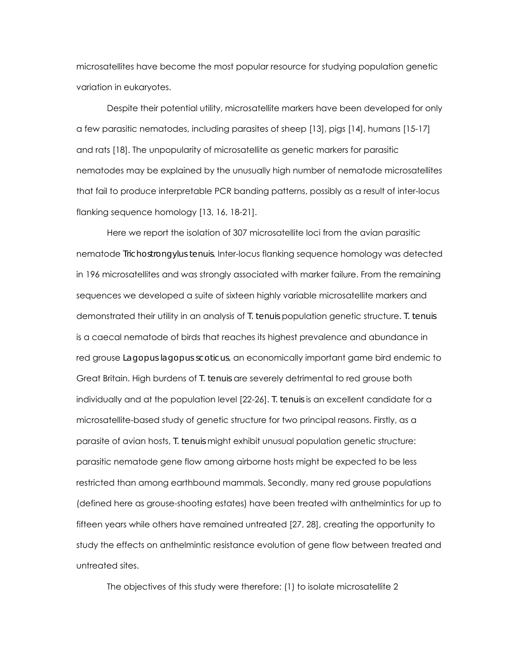microsatellites have become the most popular resource for studying population genetic variation in eukaryotes.

Despite their potential utility, microsatellite markers have been developed for only a few parasitic nematodes, including parasites of sheep [13], pigs [14], humans [15-17] and rats [18]. The unpopularity of microsatellite as genetic markers for parasitic nematodes may be explained by the unusually high number of nematode microsatellites that fail to produce interpretable PCR banding patterns, possibly as a result of inter-locus flanking sequence homology [13, 16, 18-21].

Here we report the isolation of 307 microsatellite loci from the avian parasitic nematode *Trichostrongylus tenuis*. Inter-locus flanking sequence homology was detected in 196 microsatellites and was strongly associated with marker failure. From the remaining sequences we developed a suite of sixteen highly variable microsatellite markers and demonstrated their utility in an analysis of *T. tenuis* population genetic structure. *T. tenuis* is a caecal nematode of birds that reaches its highest prevalence and abundance in red grouse *Lagopus lagopus scoticus*, an economically important game bird endemic to Great Britain. High burdens of *T. tenuis* are severely detrimental to red grouse both individually and at the population level [22-26]. *T. tenuis* is an excellent candidate for a microsatellite-based study of genetic structure for two principal reasons. Firstly, as a parasite of avian hosts, *T. tenuis* might exhibit unusual population genetic structure: parasitic nematode gene flow among airborne hosts might be expected to be less restricted than among earthbound mammals. Secondly, many red grouse populations (defined here as grouse-shooting estates) have been treated with anthelmintics for up to fifteen years while others have remained untreated [27, 28], creating the opportunity to study the effects on anthelmintic resistance evolution of gene flow between treated and untreated sites.

The objectives of this study were therefore: (1) to isolate microsatellite 2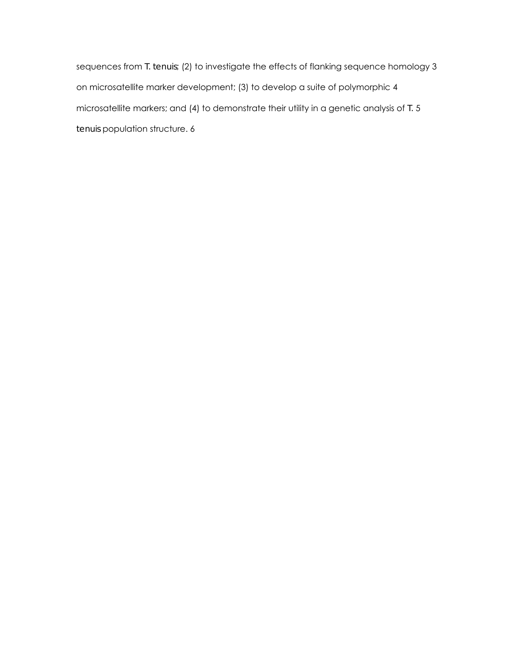sequences from *T. tenuis*; (2) to investigate the effects of flanking sequence homology 3 on microsatellite marker development; (3) to develop a suite of polymorphic 4 microsatellite markers; and (4) to demonstrate their utility in a genetic analysis of *T.* 5 *tenuis* population structure. 6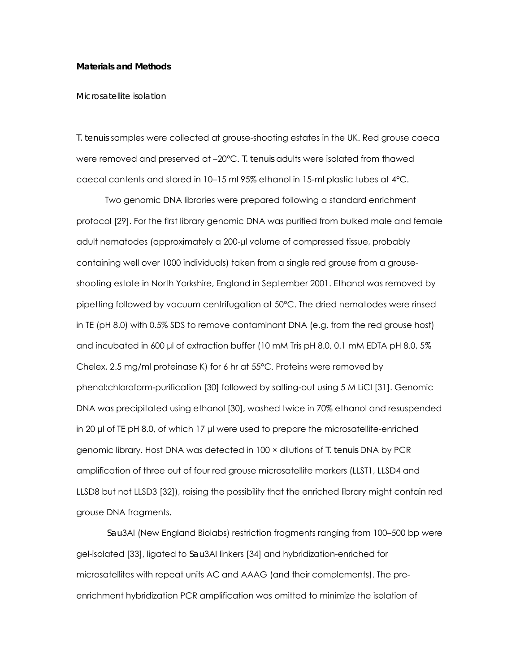#### **Materials and Methods**

#### *Microsatellite isolation*

*T. tenuis* samples were collected at grouse-shooting estates in the UK. Red grouse caeca were removed and preserved at –20°C. *T. tenuis* adults were isolated from thawed caecal contents and stored in 10–15 ml 95% ethanol in 15-ml plastic tubes at 4°C.

Two genomic DNA libraries were prepared following a standard enrichment protocol [29]. For the first library genomic DNA was purified from bulked male and female adult nematodes (approximately a 200-µl volume of compressed tissue, probably containing well over 1000 individuals) taken from a single red grouse from a grouseshooting estate in North Yorkshire, England in September 2001. Ethanol was removed by pipetting followed by vacuum centrifugation at 50°C. The dried nematodes were rinsed in TE (pH 8.0) with 0.5% SDS to remove contaminant DNA (e.g. from the red grouse host) and incubated in 600 µl of extraction buffer (10 mM Tris pH 8.0, 0.1 mM EDTA pH 8.0, 5% Chelex, 2.5 mg/ml proteinase K) for 6 hr at 55°C. Proteins were removed by phenol:chloroform-purification [30] followed by salting-out using 5 M LiCl [31]. Genomic DNA was precipitated using ethanol [30], washed twice in 70% ethanol and resuspended in 20 µl of TE pH 8.0, of which 17 µl were used to prepare the microsatellite-enriched genomic library. Host DNA was detected in 100 × dilutions of *T. tenuis* DNA by PCR amplification of three out of four red grouse microsatellite markers (LLST1, LLSD4 and LLSD8 but not LLSD3 [32]), raising the possibility that the enriched library might contain red grouse DNA fragments.

*Sau*3AI (New England Biolabs) restriction fragments ranging from 100–500 bp were gel-isolated [33], ligated to *Sau*3AI linkers [34] and hybridization-enriched for microsatellites with repeat units AC and AAAG (and their complements). The preenrichment hybridization PCR amplification was omitted to minimize the isolation of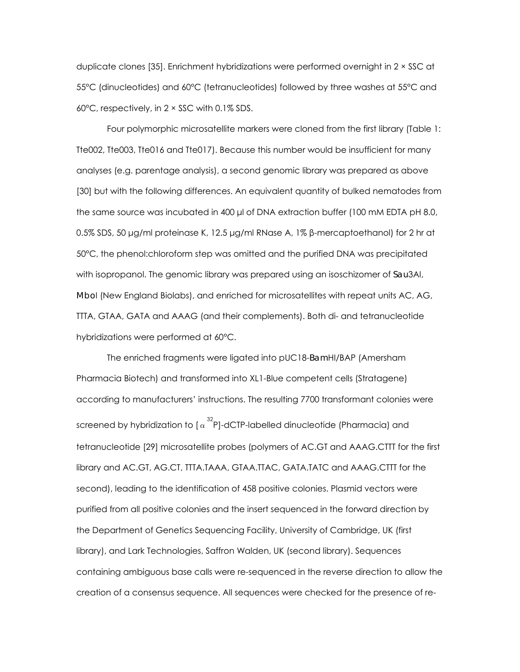duplicate clones [35]. Enrichment hybridizations were performed overnight in 2 × SSC at 55°C (dinucleotides) and 60°C (tetranucleotides) followed by three washes at 55°C and 60°C, respectively, in 2 × SSC with 0.1% SDS.

Four polymorphic microsatellite markers were cloned from the first library (Table 1: Tte002, Tte003, Tte016 and Tte017). Because this number would be insufficient for many analyses (e.g. parentage analysis), a second genomic library was prepared as above [30] but with the following differences. An equivalent quantity of bulked nematodes from the same source was incubated in 400 µl of DNA extraction buffer (100 mM EDTA pH 8.0, 0.5% SDS, 50 µg/ml proteinase K, 12.5 µg/ml RNase A, 1% β-mercaptoethanol) for 2 hr at 50°C, the phenol:chloroform step was omitted and the purified DNA was precipitated with isopropanol. The genomic library was prepared using an isoschizomer of *Sau*3AI, *Mbo*I (New England Biolabs), and enriched for microsatellites with repeat units AC, AG, TTTA, GTAA, GATA and AAAG (and their complements). Both di- and tetranucleotide hybridizations were performed at 60°C.

The enriched fragments were ligated into pUC18-*Bam*HI/BAP (Amersham Pharmacia Biotech) and transformed into XL1-Blue competent cells (Stratagene) according to manufacturers' instructions. The resulting 7700 transformant colonies were screened by hybridization to [  $\alpha^{32}$ P]-dCTP-labelled dinucleotide (Pharmacia) and tetranucleotide [29] microsatellite probes (polymers of AC.GT and AAAG.CTTT for the first library and AC.GT, AG.CT, TTTA.TAAA, GTAA.TTAC, GATA.TATC and AAAG.CTTT for the second), leading to the identification of 458 positive colonies. Plasmid vectors were purified from all positive colonies and the insert sequenced in the forward direction by the Department of Genetics Sequencing Facility, University of Cambridge, UK (first library), and Lark Technologies, Saffron Walden, UK (second library). Sequences containing ambiguous base calls were re-sequenced in the reverse direction to allow the creation of a consensus sequence. All sequences were checked for the presence of re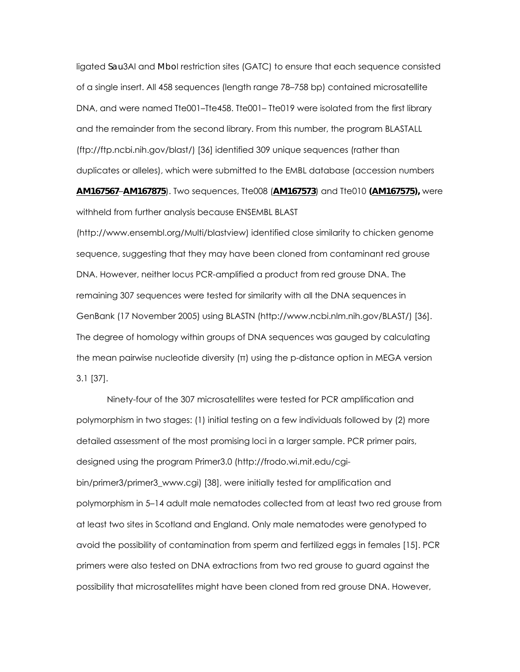ligated *Sau*3AI and *Mbo*I restriction sites (GATC) to ensure that each sequence consisted of a single insert. All 458 sequences (length range 78–758 bp) contained microsatellite DNA, and were named Tte001–Tte458. Tte001–Tte019 were isolated from the first library and the remainder from the second library. From this number, the program BLASTALL (ftp://ftp.ncbi.nih.gov/blast/) [36] identified 309 unique sequences (rather than duplicates or alleles), which were submitted to the EMBL database (accession numbers **AM167567**–**AM167875**). Two sequences, Tte008 (**AM167573**) and Tte010 **(AM167575),** were

withheld from further analysis because ENSEMBL BLAST

(http://www.ensembl.org/Multi/blastview) identified close similarity to chicken genome sequence, suggesting that they may have been cloned from contaminant red grouse DNA. However, neither locus PCR-amplified a product from red grouse DNA. The remaining 307 sequences were tested for similarity with all the DNA sequences in GenBank (17 November 2005) using BLASTN (http://www.ncbi.nlm.nih.gov/BLAST/) [36]. The degree of homology within groups of DNA sequences was gauged by calculating the mean pairwise nucleotide diversity (π) using the p-distance option in MEGA version 3.1 [37].

Ninety-four of the 307 microsatellites were tested for PCR amplification and polymorphism in two stages: (1) initial testing on a few individuals followed by (2) more detailed assessment of the most promising loci in a larger sample. PCR primer pairs, designed using the program Primer3.0 (http://frodo.wi.mit.edu/cgibin/primer3/primer3\_www.cgi) [38], were initially tested for amplification and polymorphism in 5–14 adult male nematodes collected from at least two red grouse from at least two sites in Scotland and England. Only male nematodes were genotyped to avoid the possibility of contamination from sperm and fertilized eggs in females [15]. PCR primers were also tested on DNA extractions from two red grouse to guard against the possibility that microsatellites might have been cloned from red grouse DNA. However,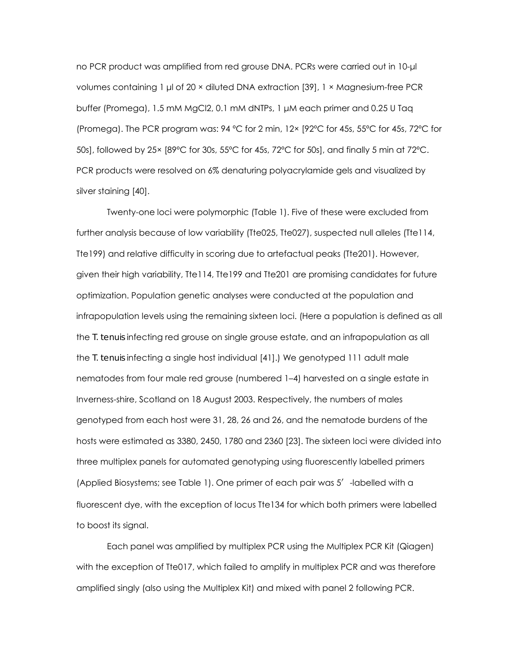no PCR product was amplified from red grouse DNA. PCRs were carried out in 10-µl volumes containing 1 µl of 20 × diluted DNA extraction [39], 1 × Magnesium-free PCR buffer (Promega), 1.5 mM MgCl2, 0.1 mM dNTPs, 1 µM each primer and 0.25 U Taq (Promega). The PCR program was: 94 ºC for 2 min, 12× [92ºC for 45s, 55ºC for 45s, 72ºC for 50s], followed by 25× [89ºC for 30s, 55ºC for 45s, 72ºC for 50s], and finally 5 min at 72ºC. PCR products were resolved on 6% denaturing polyacrylamide gels and visualized by silver staining [40].

Twenty-one loci were polymorphic (Table 1). Five of these were excluded from further analysis because of low variability (Tte025, Tte027), suspected null alleles (Tte114, Tte199) and relative difficulty in scoring due to artefactual peaks (Tte201). However, given their high variability, Tte114, Tte199 and Tte201 are promising candidates for future optimization. Population genetic analyses were conducted at the population and infrapopulation levels using the remaining sixteen loci. (Here a population is defined as all the *T. tenuis* infecting red grouse on single grouse estate, and an infrapopulation as all the *T. tenuis* infecting a single host individual [41].) We genotyped 111 adult male nematodes from four male red grouse (numbered 1–4) harvested on a single estate in Inverness-shire, Scotland on 18 August 2003. Respectively, the numbers of males genotyped from each host were 31, 28, 26 and 26, and the nematode burdens of the hosts were estimated as 3380, 2450, 1780 and 2360 [23]. The sixteen loci were divided into three multiplex panels for automated genotyping using fluorescently labelled primers (Applied Biosystems; see Table 1). One primer of each pair was 5′-labelled with a fluorescent dye, with the exception of locus Tte134 for which both primers were labelled to boost its signal.

Each panel was amplified by multiplex PCR using the Multiplex PCR Kit (Qiagen) with the exception of Tte017, which failed to amplify in multiplex PCR and was therefore amplified singly (also using the Multiplex Kit) and mixed with panel 2 following PCR.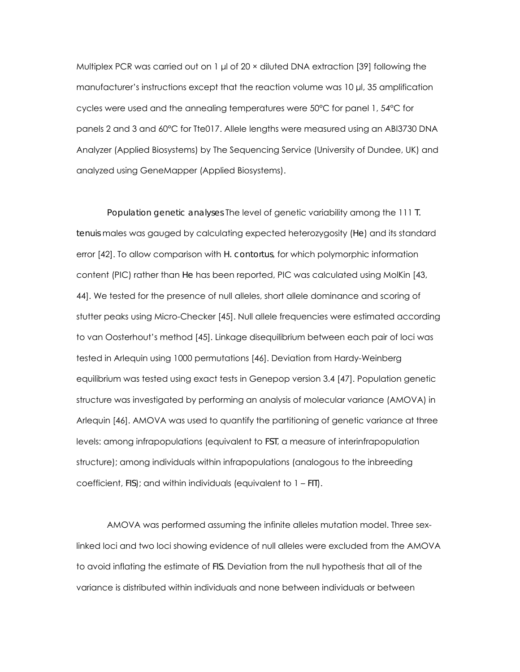Multiplex PCR was carried out on 1 µl of 20 × diluted DNA extraction [39] following the manufacturer's instructions except that the reaction volume was 10 µl, 35 amplification cycles were used and the annealing temperatures were 50°C for panel 1, 54°C for panels 2 and 3 and 60°C for Tte017. Allele lengths were measured using an ABI3730 DNA Analyzer (Applied Biosystems) by The Sequencing Service (University of Dundee, UK) and analyzed using GeneMapper (Applied Biosystems).

*Population genetic analyses* The level of genetic variability among the 111 *T. tenuis* males was gauged by calculating expected heterozygosity (*He*) and its standard error [42]. To allow comparison with *H. contortus*, for which polymorphic information content (PIC) rather than *He* has been reported, PIC was calculated using MolKin [43, 44]. We tested for the presence of null alleles, short allele dominance and scoring of stutter peaks using Micro-Checker [45]. Null allele frequencies were estimated according to van Oosterhout's method [45]. Linkage disequilibrium between each pair of loci was tested in Arlequin using 1000 permutations [46]. Deviation from Hardy-Weinberg equilibrium was tested using exact tests in Genepop version 3.4 [47]. Population genetic structure was investigated by performing an analysis of molecular variance (AMOVA) in Arlequin [46]. AMOVA was used to quantify the partitioning of genetic variance at three levels: among infrapopulations (equivalent to *FST*, a measure of interinfrapopulation structure); among individuals within infrapopulations (analogous to the inbreeding coefficient, *FIS*); and within individuals (equivalent to 1 – *FIT*).

AMOVA was performed assuming the infinite alleles mutation model. Three sexlinked loci and two loci showing evidence of null alleles were excluded from the AMOVA to avoid inflating the estimate of *FIS*. Deviation from the null hypothesis that all of the variance is distributed within individuals and none between individuals or between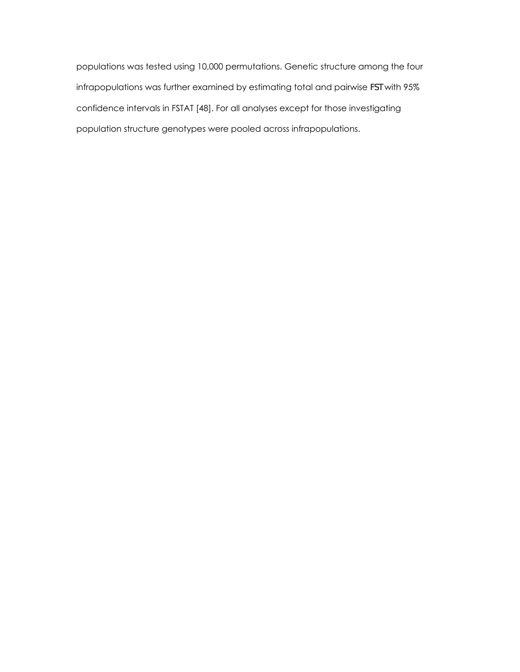populations was tested using 10,000 permutations. Genetic structure among the four infrapopulations was further examined by estimating total and pairwise *FST* with 95% confidence intervals in FSTAT [48]. For all analyses except for those investigating population structure genotypes were pooled across infrapopulations.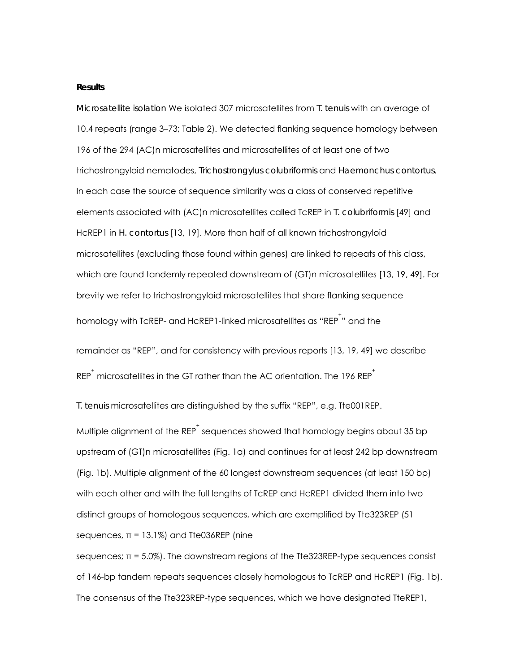#### **Results**

*Microsatellite isolation* We isolated 307 microsatellites from *T. tenuis* with an average of 10.4 repeats (range 3–73; Table 2). We detected flanking sequence homology between 196 of the 294 (AC)n microsatellites and microsatellites of at least one of two trichostrongyloid nematodes, *Trichostrongylus colubriformis* and *Haemonchus contortus*. In each case the source of sequence similarity was a class of conserved repetitive elements associated with (AC)n microsatellites called TcREP in *T. colubriformis* [49] and HcREP1 in *H. contortus* [13, 19]. More than half of all known trichostrongyloid microsatellites (excluding those found within genes) are linked to repeats of this class, which are found tandemly repeated downstream of (GT)n microsatellites [13, 19, 49]. For brevity we refer to trichostrongyloid microsatellites that share flanking sequence homology with TcREP- and HcREP1-linked microsatellites as "REP $^\dagger$ " and the

remainder as "REP", and for consistency with previous reports [13, 19, 49] we describe  $\mathsf{R}\mathsf{E}\mathsf{P}^\dagger$  microsatellites in the GT rather than the AC orientation. The 196  $\mathsf{R}\mathsf{E}\mathsf{P}^\dagger$ 

*T. tenuis* microsatellites are distinguished by the suffix "REP", e.g. Tte001REP.

Multiple alignment of the REP $^\dagger$  sequences showed that homology begins about 35 bp upstream of (GT)n microsatellites (Fig. 1a) and continues for at least 242 bp downstream (Fig. 1b). Multiple alignment of the 60 longest downstream sequences (at least 150 bp) with each other and with the full lengths of TcREP and HcREP1 divided them into two distinct groups of homologous sequences, which are exemplified by Tte323REP (51 sequences,  $\pi = 13.1\%$ ) and Tte036REP (nine

sequences;  $\pi$  = 5.0%). The downstream regions of the Tte323REP-type sequences consist of 146-bp tandem repeats sequences closely homologous to TcREP and HcREP1 (Fig. 1b). The consensus of the Tte323REP-type sequences, which we have designated TteREP1,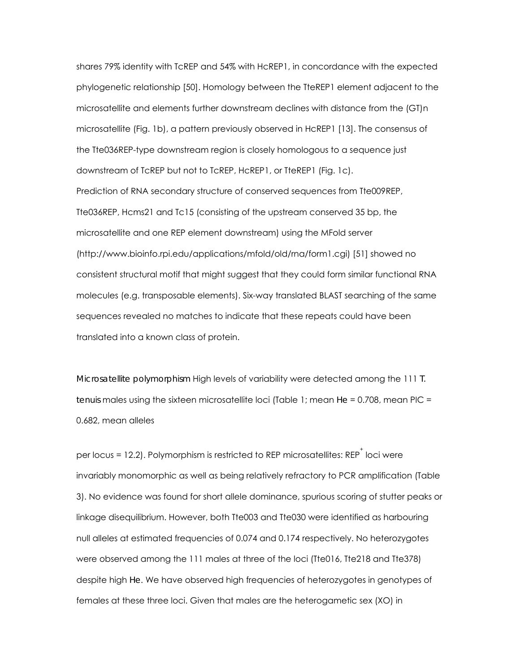shares 79% identity with TcREP and 54% with HcREP1, in concordance with the expected phylogenetic relationship [50]. Homology between the TteREP1 element adjacent to the microsatellite and elements further downstream declines with distance from the (GT)n microsatellite (Fig. 1b), a pattern previously observed in HcREP1 [13]. The consensus of the Tte036REP-type downstream region is closely homologous to a sequence just downstream of TcREP but not to TcREP, HcREP1, or TteREP1 (Fig. 1c). Prediction of RNA secondary structure of conserved sequences from Tte009REP, Tte036REP, Hcms21 and Tc15 (consisting of the upstream conserved 35 bp, the microsatellite and one REP element downstream) using the MFold server (http://www.bioinfo.rpi.edu/applications/mfold/old/rna/form1.cgi) [51] showed no consistent structural motif that might suggest that they could form similar functional RNA molecules (e.g. transposable elements). Six-way translated BLAST searching of the same sequences revealed no matches to indicate that these repeats could have been translated into a known class of protein.

*Microsatellite polymorphism* High levels of variability were detected among the 111 *T. tenuis* males using the sixteen microsatellite loci (Table 1; mean *He* = 0.708, mean PIC = 0.682, mean alleles

per locus = 12.2). Polymorphism is restricted to REP microsatellites: REP $^{^+}$  loci were invariably monomorphic as well as being relatively refractory to PCR amplification (Table 3). No evidence was found for short allele dominance, spurious scoring of stutter peaks or linkage disequilibrium. However, both Tte003 and Tte030 were identified as harbouring null alleles at estimated frequencies of 0.074 and 0.174 respectively. No heterozygotes were observed among the 111 males at three of the loci (Tte016, Tte218 and Tte378) despite high *He*. We have observed high frequencies of heterozygotes in genotypes of females at these three loci. Given that males are the heterogametic sex (XO) in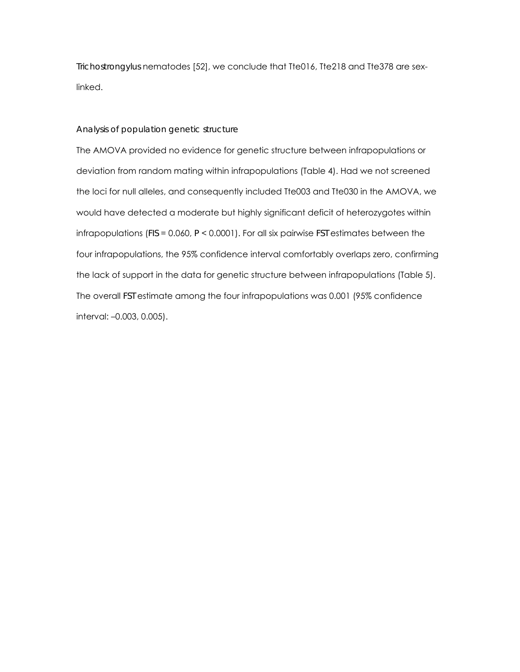*Trichostrongylus* nematodes [52], we conclude that Tte016, Tte218 and Tte378 are sexlinked.

# *Analysis of population genetic structure*

The AMOVA provided no evidence for genetic structure between infrapopulations or deviation from random mating within infrapopulations (Table 4). Had we not screened the loci for null alleles, and consequently included Tte003 and Tte030 in the AMOVA, we would have detected a moderate but highly significant deficit of heterozygotes within infrapopulations (*FIS* = 0.060, *P* < 0.0001). For all six pairwise *FST* estimates between the four infrapopulations, the 95% confidence interval comfortably overlaps zero, confirming the lack of support in the data for genetic structure between infrapopulations (Table 5). The overall *FST* estimate among the four infrapopulations was 0.001 (95% confidence interval: –0.003, 0.005).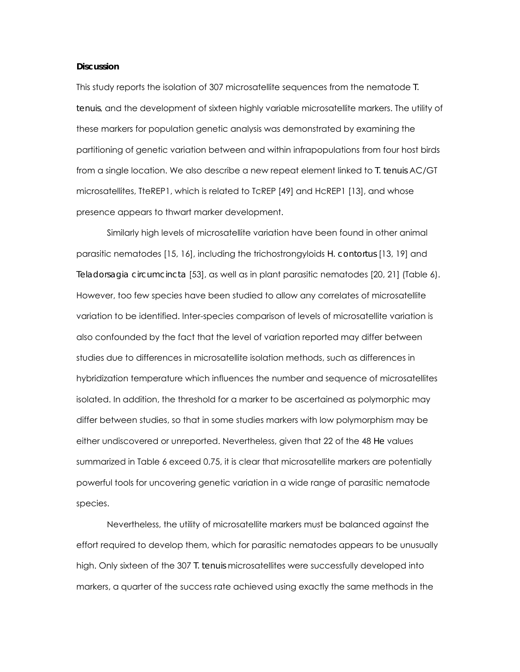#### **Discussion**

This study reports the isolation of 307 microsatellite sequences from the nematode *T. tenuis*, and the development of sixteen highly variable microsatellite markers. The utility of these markers for population genetic analysis was demonstrated by examining the partitioning of genetic variation between and within infrapopulations from four host birds from a single location. We also describe a new repeat element linked to *T. tenuis* AC/GT microsatellites, TteREP1, which is related to TcREP [49] and HcREP1 [13], and whose presence appears to thwart marker development.

Similarly high levels of microsatellite variation have been found in other animal parasitic nematodes [15, 16], including the trichostrongyloids *H. contortus* [13, 19] and *Teladorsagia circumcincta* [53], as well as in plant parasitic nematodes [20, 21] (Table 6). However, too few species have been studied to allow any correlates of microsatellite variation to be identified. Inter-species comparison of levels of microsatellite variation is also confounded by the fact that the level of variation reported may differ between studies due to differences in microsatellite isolation methods, such as differences in hybridization temperature which influences the number and sequence of microsatellites isolated. In addition, the threshold for a marker to be ascertained as polymorphic may differ between studies, so that in some studies markers with low polymorphism may be either undiscovered or unreported. Nevertheless, given that 22 of the 48 *He* values summarized in Table 6 exceed 0.75, it is clear that microsatellite markers are potentially powerful tools for uncovering genetic variation in a wide range of parasitic nematode species.

Nevertheless, the utility of microsatellite markers must be balanced against the effort required to develop them, which for parasitic nematodes appears to be unusually high. Only sixteen of the 307 *T. tenuis* microsatellites were successfully developed into markers, a quarter of the success rate achieved using exactly the same methods in the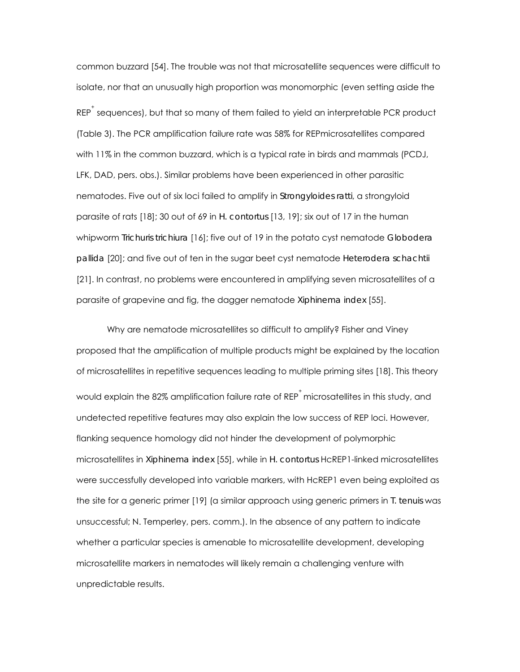common buzzard [54]. The trouble was not that microsatellite sequences were difficult to isolate, nor that an unusually high proportion was monomorphic (even setting aside the  $\mathsf{RF}^{\dagger}$  sequences), but that so many of them failed to yield an interpretable PCR product (Table 3). The PCR amplification failure rate was 58% for REPmicrosatellites compared with 11% in the common buzzard, which is a typical rate in birds and mammals (PCDJ, LFK, DAD, pers. obs.). Similar problems have been experienced in other parasitic nematodes. Five out of six loci failed to amplify in *Strongyloides ratti*, a strongyloid parasite of rats [18]; 30 out of 69 in *H. contortus* [13, 19]; six out of 17 in the human whipworm *Trichuris trichiura* [16]; five out of 19 in the potato cyst nematode *Globodera pallida* [20]; and five out of ten in the sugar beet cyst nematode *Heterodera schachtii* [21]. In contrast, no problems were encountered in amplifying seven microsatellites of a parasite of grapevine and fig, the dagger nematode *Xiphinema index* [55].

Why are nematode microsatellites so difficult to amplify? Fisher and Viney proposed that the amplification of multiple products might be explained by the location of microsatellites in repetitive sequences leading to multiple priming sites [18]. This theory would explain the 82% amplification failure rate of REP $^\dagger$  microsatellites in this study, and undetected repetitive features may also explain the low success of REP loci. However, flanking sequence homology did not hinder the development of polymorphic microsatellites in *Xiphinema index* [55], while in *H. contortus* HcREP1-linked microsatellites were successfully developed into variable markers, with HcREP1 even being exploited as the site for a generic primer [19] (a similar approach using generic primers in *T. tenuis* was unsuccessful; N. Temperley, pers. comm.). In the absence of any pattern to indicate whether a particular species is amenable to microsatellite development, developing microsatellite markers in nematodes will likely remain a challenging venture with unpredictable results.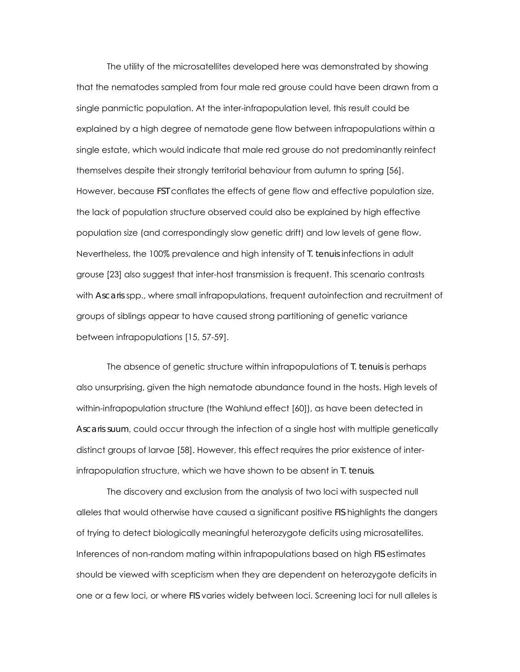The utility of the microsatellites developed here was demonstrated by showing that the nematodes sampled from four male red grouse could have been drawn from a single panmictic population. At the inter-infrapopulation level, this result could be explained by a high degree of nematode gene flow between infrapopulations within a single estate, which would indicate that male red grouse do not predominantly reinfect themselves despite their strongly territorial behaviour from autumn to spring [56]. However, because *FST* conflates the effects of gene flow and effective population size, the lack of population structure observed could also be explained by high effective population size (and correspondingly slow genetic drift) and low levels of gene flow. Nevertheless, the 100% prevalence and high intensity of *T. tenuis* infections in adult grouse [23] also suggest that inter-host transmission is frequent. This scenario contrasts with *Ascaris* spp., where small infrapopulations, frequent autoinfection and recruitment of groups of siblings appear to have caused strong partitioning of genetic variance between infrapopulations [15, 57-59].

The absence of genetic structure within infrapopulations of *T. tenuis* is perhaps also unsurprising, given the high nematode abundance found in the hosts. High levels of within-infrapopulation structure (the Wahlund effect [60]), as have been detected in *Ascaris suum*, could occur through the infection of a single host with multiple genetically distinct groups of larvae [58]. However, this effect requires the prior existence of interinfrapopulation structure, which we have shown to be absent in *T. tenuis*.

The discovery and exclusion from the analysis of two loci with suspected null alleles that would otherwise have caused a significant positive *FIS* highlights the dangers of trying to detect biologically meaningful heterozygote deficits using microsatellites. Inferences of non-random mating within infrapopulations based on high *FIS* estimates should be viewed with scepticism when they are dependent on heterozygote deficits in one or a few loci, or where *FIS* varies widely between loci. Screening loci for null alleles is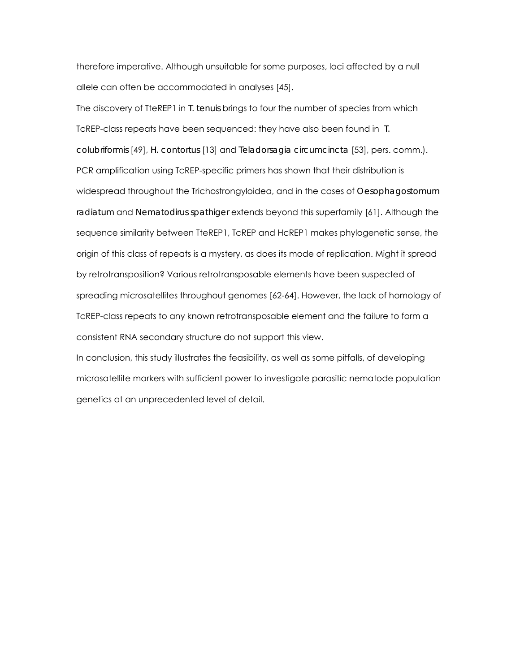therefore imperative. Although unsuitable for some purposes, loci affected by a null allele can often be accommodated in analyses [45].

The discovery of TteREP1 in *T. tenuis* brings to four the number of species from which TcREP-class repeats have been sequenced: they have also been found in *T. colubriformis* [49], *H. contortus* [13] and *Teladorsagia circumcincta* [53], pers. comm.). PCR amplification using TcREP-specific primers has shown that their distribution is widespread throughout the Trichostrongyloidea, and in the cases of *Oesophagostomum radiatum* and *Nematodirus spathiger* extends beyond this superfamily [61]. Although the sequence similarity between TteREP1, TcREP and HcREP1 makes phylogenetic sense, the origin of this class of repeats is a mystery, as does its mode of replication. Might it spread by retrotransposition? Various retrotransposable elements have been suspected of spreading microsatellites throughout genomes [62-64]. However, the lack of homology of TcREP-class repeats to any known retrotransposable element and the failure to form a consistent RNA secondary structure do not support this view.

In conclusion, this study illustrates the feasibility, as well as some pitfalls, of developing microsatellite markers with sufficient power to investigate parasitic nematode population genetics at an unprecedented level of detail.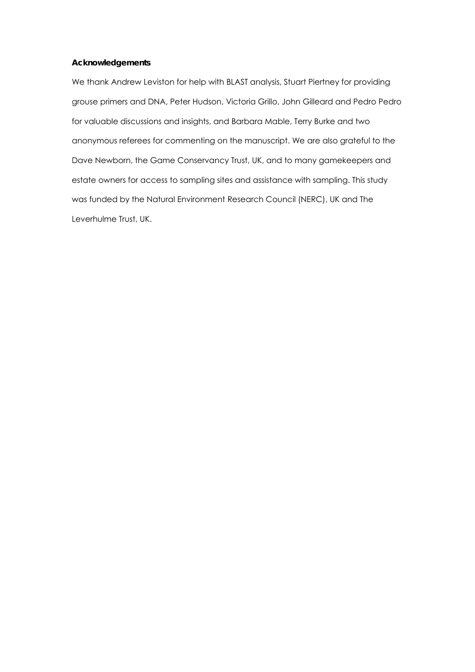### **Acknowledgements**

We thank Andrew Leviston for help with BLAST analysis, Stuart Piertney for providing grouse primers and DNA, Peter Hudson, Victoria Grillo, John Gilleard and Pedro Pedro for valuable discussions and insights, and Barbara Mable, Terry Burke and two anonymous referees for commenting on the manuscript. We are also grateful to the Dave Newborn, the Game Conservancy Trust, UK, and to many gamekeepers and estate owners for access to sampling sites and assistance with sampling. This study was funded by the Natural Environment Research Council (NERC), UK and The Leverhulme Trust, UK.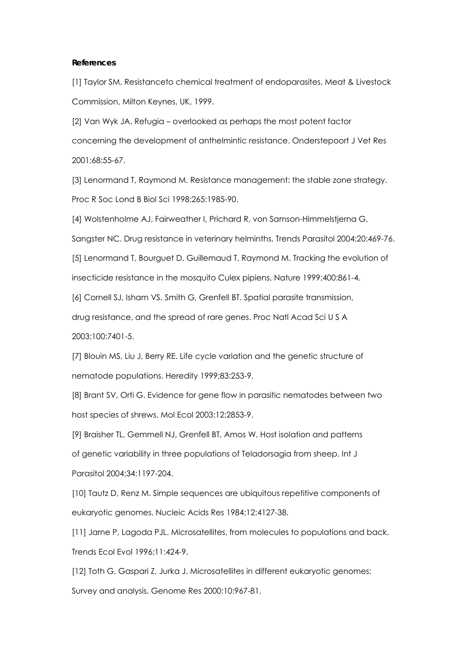#### **References**

[1] Taylor SM. Resistanceto chemical treatment of endoparasites. Meat & Livestock Commission, Milton Keynes, UK, 1999.

[2] Van Wyk JA. Refugia – overlooked as perhaps the most potent factor concerning the development of anthelmintic resistance. Onderstepoort J Vet Res 2001;68:55-67.

[3] Lenormand T, Raymond M. Resistance management: the stable zone strategy. Proc R Soc Lond B Biol Sci 1998;265:1985-90.

[4] Wolstenholme AJ, Fairweather I, Prichard R, von Samson-Himmelstjerna G,

Sangster NC. Drug resistance in veterinary helminths. Trends Parasitol 2004;20:469-76.

[5] Lenormand T, Bourguet D, Guillemaud T, Raymond M. Tracking the evolution of insecticide resistance in the mosquito Culex pipiens. Nature 1999;400:861-4.

[6] Cornell SJ, Isham VS, Smith G, Grenfell BT. Spatial parasite transmission,

drug resistance, and the spread of rare genes. Proc Natl Acad Sci U S A

2003;100:7401-5.

[7] Blouin MS, Liu J, Berry RE. Life cycle variation and the genetic structure of nematode populations. Heredity 1999;83:253-9.

[8] Brant SV, Orti G. Evidence for gene flow in parasitic nematodes between two host species of shrews. Mol Ecol 2003;12:2853-9.

[9] Braisher TL, Gemmell NJ, Grenfell BT, Amos W. Host isolation and patterns of genetic variability in three populations of Teladorsagia from sheep. Int J Parasitol 2004;34:1197-204.

[10] Tautz D, Renz M. Simple sequences are ubiquitous repetitive components of eukaryotic genomes. Nucleic Acids Res 1984;12:4127-38.

[11] Jarne P, Lagoda PJL. Microsatellites, from molecules to populations and back. Trends Ecol Evol 1996;11:424-9.

[12] Toth G, Gaspari Z, Jurka J. Microsatellites in different eukaryotic genomes: Survey and analysis. Genome Res 2000;10:967-81.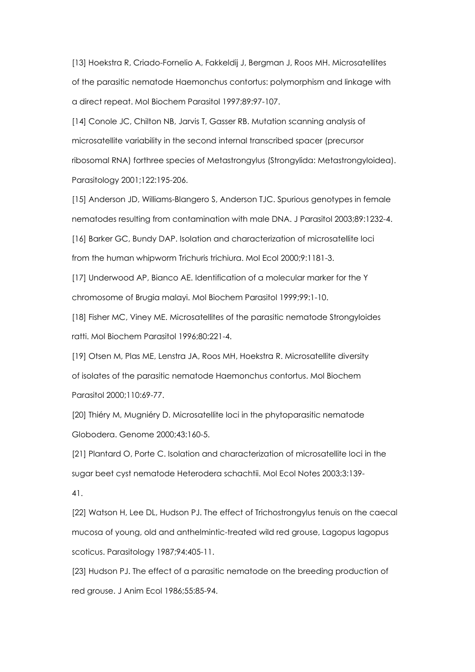[13] Hoekstra R, Criado-Fornelio A, Fakkeldij J, Bergman J, Roos MH. Microsatellites of the parasitic nematode Haemonchus contortus: polymorphism and linkage with a direct repeat. Mol Biochem Parasitol 1997;89:97-107.

[14] Conole JC, Chilton NB, Jarvis T, Gasser RB. Mutation scanning analysis of microsatellite variability in the second internal transcribed spacer (precursor ribosomal RNA) forthree species of Metastrongylus (Strongylida: Metastrongyloidea). Parasitology 2001;122:195-206.

[15] Anderson JD, Williams-Blangero S, Anderson TJC. Spurious genotypes in female nematodes resulting from contamination with male DNA. J Parasitol 2003;89:1232-4. [16] Barker GC, Bundy DAP. Isolation and characterization of microsatellite loci

from the human whipworm Trichuris trichiura. Mol Ecol 2000;9:1181-3.

[17] Underwood AP, Bianco AE. Identification of a molecular marker for the Y chromosome of Brugia malayi. Mol Biochem Parasitol 1999;99:1-10.

[18] Fisher MC, Viney ME. Microsatellites of the parasitic nematode Strongyloides ratti. Mol Biochem Parasitol 1996;80:221-4.

[19] Otsen M, Plas ME, Lenstra JA, Roos MH, Hoekstra R. Microsatellite diversity of isolates of the parasitic nematode Haemonchus contortus. Mol Biochem Parasitol 2000;110:69-77.

[20] Thiéry M, Mugniéry D. Microsatellite loci in the phytoparasitic nematode Globodera. Genome 2000;43:160-5.

[21] Plantard O, Porte C. Isolation and characterization of microsatellite loci in the sugar beet cyst nematode Heterodera schachtii. Mol Ecol Notes 2003;3:139-

41.

[22] Watson H, Lee DL, Hudson PJ. The effect of Trichostrongylus tenuis on the caecal mucosa of young, old and anthelmintic-treated wild red grouse, Lagopus lagopus scoticus. Parasitology 1987;94:405-11.

[23] Hudson PJ. The effect of a parasitic nematode on the breeding production of red grouse. J Anim Ecol 1986;55:85-94.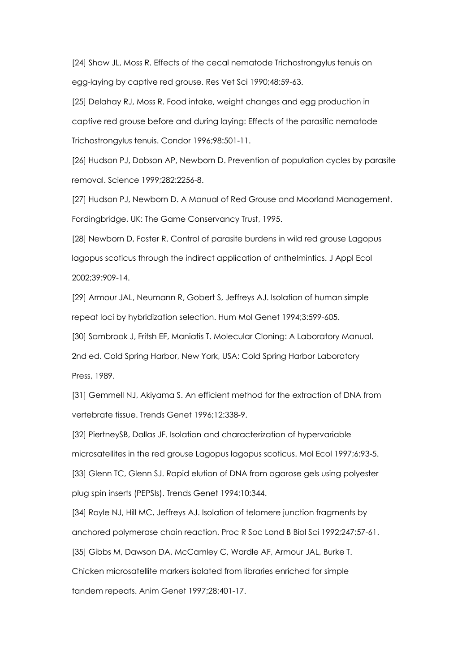[24] Shaw JL, Moss R. Effects of the cecal nematode Trichostrongylus tenuis on egg-laying by captive red grouse. Res Vet Sci 1990;48:59-63.

[25] Delahay RJ, Moss R. Food intake, weight changes and egg production in captive red grouse before and during laying: Effects of the parasitic nematode Trichostrongylus tenuis. Condor 1996;98:501-11.

[26] Hudson PJ, Dobson AP, Newborn D. Prevention of population cycles by parasite removal. Science 1999;282:2256-8.

[27] Hudson PJ, Newborn D. A Manual of Red Grouse and Moorland Management. Fordingbridge, UK: The Game Conservancy Trust, 1995.

[28] Newborn D, Foster R. Control of parasite burdens in wild red grouse Lagopus lagopus scoticus through the indirect application of anthelmintics. J Appl Ecol 2002;39:909-14.

[29] Armour JAL, Neumann R, Gobert S, Jeffreys AJ. Isolation of human simple repeat loci by hybridization selection. Hum Mol Genet 1994;3:599-605.

[30] Sambrook J, Fritsh EF, Maniatis T. Molecular Cloning: A Laboratory Manual. 2nd ed. Cold Spring Harbor, New York, USA: Cold Spring Harbor Laboratory Press, 1989.

[31] Gemmell NJ, Akiyama S. An efficient method for the extraction of DNA from vertebrate tissue. Trends Genet 1996;12:338-9.

[32] PiertneySB, Dallas JF. Isolation and characterization of hypervariable microsatellites in the red grouse Lagopus lagopus scoticus. Mol Ecol 1997;6:93-5. [33] Glenn TC, Glenn SJ. Rapid elution of DNA from agarose gels using polyester

plug spin inserts (PEPSIs). Trends Genet 1994;10:344.

[34] Royle NJ, Hill MC, Jeffreys AJ. Isolation of telomere junction fragments by anchored polymerase chain reaction. Proc R Soc Lond B Biol Sci 1992;247:57-61.

[35] Gibbs M, Dawson DA, McCamley C, Wardle AF, Armour JAL, Burke T.

Chicken microsatellite markers isolated from libraries enriched for simple tandem repeats. Anim Genet 1997;28:401-17.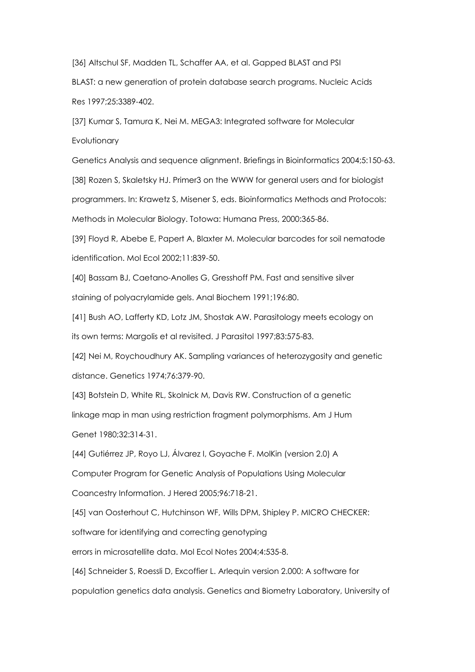[36] Altschul SF, Madden TL, Schaffer AA, et al. Gapped BLAST and PSI

BLAST: a new generation of protein database search programs. Nucleic Acids Res 1997;25:3389-402.

[37] Kumar S, Tamura K, Nei M. MEGA3: Integrated software for Molecular **Evolutionary** 

Genetics Analysis and sequence alignment. Briefings in Bioinformatics 2004;5:150-63. [38] Rozen S, Skaletsky HJ. Primer3 on the WWW for general users and for biologist programmers. In: Krawetz S, Misener S, eds. Bioinformatics Methods and Protocols: Methods in Molecular Biology. Totowa: Humana Press, 2000:365-86.

[39] Floyd R, Abebe E, Papert A, Blaxter M. Molecular barcodes for soil nematode identification. Mol Ecol 2002;11:839-50.

[40] Bassam BJ, Caetano-Anolles G, Gresshoff PM. Fast and sensitive silver staining of polyacrylamide gels. Anal Biochem 1991;196:80.

[41] Bush AO, Lafferty KD, Lotz JM, Shostak AW. Parasitology meets ecology on its own terms: Margolis et al revisited. J Parasitol 1997;83:575-83.

[42] Nei M, Roychoudhury AK. Sampling variances of heterozygosity and genetic distance. Genetics 1974;76:379-90.

[43] Botstein D, White RL, Skolnick M, Davis RW. Construction of a genetic linkage map in man using restriction fragment polymorphisms. Am J Hum Genet 1980;32:314-31.

[44] Gutiérrez JP, Royo LJ, Álvarez I, Goyache F. MolKin (version 2.0) A Computer Program for Genetic Analysis of Populations Using Molecular Coancestry Information. J Hered 2005;96:718-21.

[45] van Oosterhout C, Hutchinson WF, Wills DPM, Shipley P. MICRO CHECKER:

software for identifying and correcting genotyping

errors in microsatellite data. Mol Ecol Notes 2004;4:535-8.

[46] Schneider S, Roessli D, Excoffier L. Arlequin version 2.000: A software for population genetics data analysis. Genetics and Biometry Laboratory, University of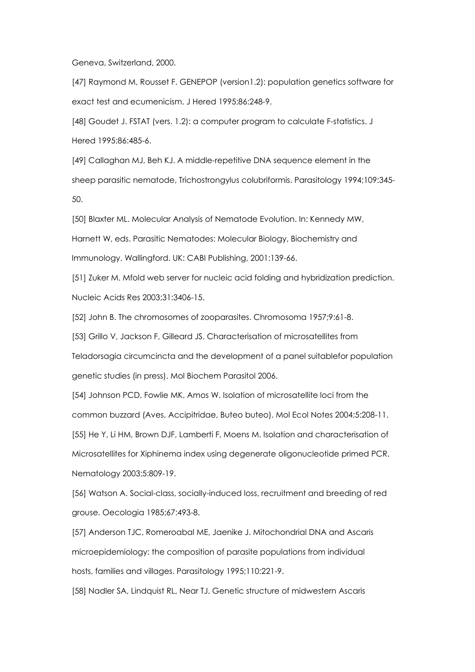Geneva, Switzerland, 2000.

[47] Raymond M, Rousset F. GENEPOP (version1.2): population genetics software for exact test and ecumenicism. J Hered 1995;86:248-9.

[48] Goudet J. FSTAT (vers. 1.2): a computer program to calculate F-statistics. J Hered 1995;86:485-6.

[49] Callaghan MJ, Beh KJ. A middle-repetitive DNA sequence element in the sheep parasitic nematode, Trichostrongylus colubriformis. Parasitology 1994;109:345- 50.

[50] Blaxter ML. Molecular Analysis of Nematode Evolution. In: Kennedy MW, Harnett W, eds. Parasitic Nematodes: Molecular Biology, Biochemistry and Immunology. Wallingford. UK: CABI Publishing, 2001:139-66.

[51] Zuker M. Mfold web server for nucleic acid folding and hybridization prediction. Nucleic Acids Res 2003;31:3406-15.

[52] John B. The chromosomes of zooparasites. Chromosoma 1957;9:61-8.

[53] Grillo V, Jackson F, Gilleard JS. Characterisation of microsatellites from

Teladorsagia circumcincta and the development of a panel suitablefor population genetic studies (in press). Mol Biochem Parasitol 2006.

[54] Johnson PCD, Fowlie MK, Amos W. Isolation of microsatellite loci from the common buzzard (Aves, Accipitridae, Buteo buteo). Mol Ecol Notes 2004;5:208-11.

[55] He Y, Li HM, Brown DJF, Lamberti F, Moens M. Isolation and characterisation of Microsatellites for Xiphinema index using degenerate oligonucleotide primed PCR. Nematology 2003;5:809-19.

[56] Watson A. Social-class, socially-induced loss, recruitment and breeding of red grouse. Oecologia 1985;67:493-8.

[57] Anderson TJC, Romeroabal ME, Jaenike J. Mitochondrial DNA and Ascaris microepidemiology: the composition of parasite populations from individual hosts, families and villages. Parasitology 1995;110:221-9.

[58] Nadler SA, Lindquist RL, Near TJ. Genetic structure of midwestern Ascaris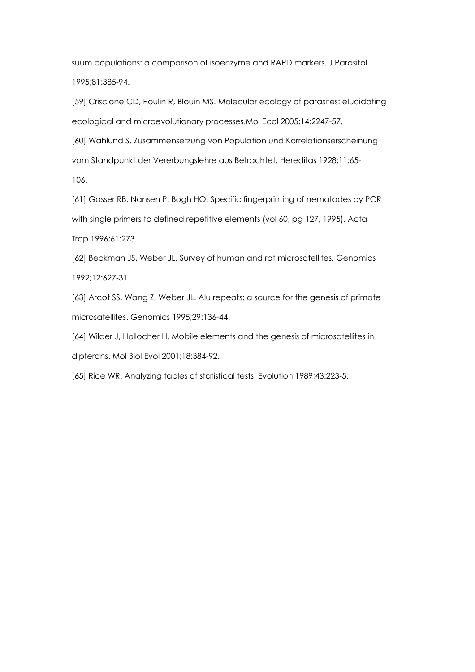suum populations: a comparison of isoenzyme and RAPD markers. J Parasitol 1995;81:385-94.

[59] Criscione CD, Poulin R, Blouin MS. Molecular ecology of parasites: elucidating ecological and microevolutionary processes.Mol Ecol 2005;14:2247-57.

[60] Wahlund S. Zusammensetzung von Population und Korrelationserscheinung vom Standpunkt der Vererbungslehre aus Betrachtet. Hereditas 1928;11:65- 106.

[61] Gasser RB, Nansen P, Bogh HO. Specific fingerprinting of nematodes by PCR with single primers to defined repetitive elements (vol 60, pg 127, 1995). Acta Trop 1996;61:273.

[62] Beckman JS, Weber JL. Survey of human and rat microsatellites. Genomics 1992;12:627-31.

[63] Arcot SS, Wang Z, Weber JL. Alu repeats: a source for the genesis of primate microsatellites. Genomics 1995;29:136-44.

[64] Wilder J, Hollocher H. Mobile elements and the genesis of microsatellites in dipterans. Mol Biol Evol 2001;18:384-92.

[65] Rice WR. Analyzing tables of statistical tests. Evolution 1989;43:223-5.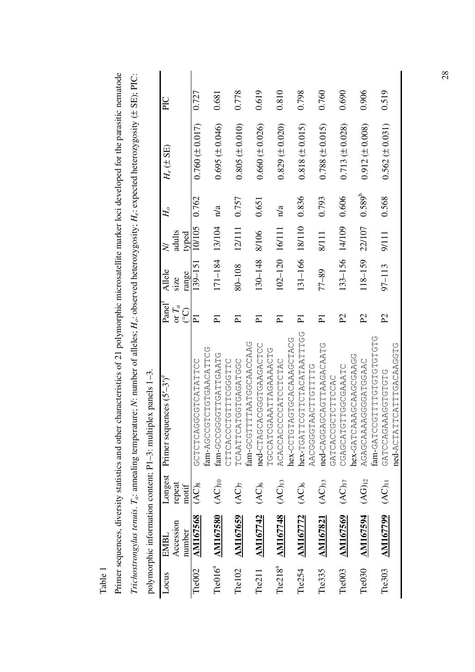|                     |                              |             | polymorphic information content; P1-3: multiplex panels 1-3. |                         |             |           |                         |                                    |       |
|---------------------|------------------------------|-------------|--------------------------------------------------------------|-------------------------|-------------|-----------|-------------------------|------------------------------------|-------|
| Locus               | EMBL                         | Longest     | Primer sequences (5'-3') <sup>e</sup>                        | Pane <sup>l</sup>       | Allele      | $\gtrsim$ | $H_o$                   | $H_e \left( \pm \text{SE} \right)$ | PIC   |
|                     | Accession                    | repeat      |                                                              | or $T_a$                | size        | adults    |                         |                                    |       |
|                     | number                       | motif       |                                                              | <u>ုး</u>               | range       | typed     |                         |                                    |       |
| Tte002              | <b>AM167568</b>              | $(AC)_{8}$  | <b>しりHHAHAOHOOOOAOHOHOO</b>                                  | $\overline{\mathtt{p}}$ | 139-151     | 10/105    | 0.762                   | $0.760 (\pm 0.017)$                | 0.727 |
|                     |                              |             | UULLAUARULULUUUUUA-LEE                                       |                         |             |           |                         |                                    |       |
|                     | Tte016 <sup>a</sup> AM167580 | $(AC)_{10}$ | UHARDHHADHUUUUUUUH                                           | ቯ                       | 171-184     | 13/104    | n/a                     | $0.695 (\pm 0.046)$                | 0.681 |
|                     |                              |             | CTTCACCTCOACHT                                               |                         |             |           |                         |                                    |       |
| Tte102              | <b>AM167659</b>              | (AC)        | UUUH AUAUHUUH AUH HAAUH                                      | ቪ                       | 80-108      | 12/111    | 0.757                   | $0.805 \ (\pm 0.010)$              | 0.778 |
|                     |                              |             | fam-GCGTTTAATGCAACCAAG                                       |                         |             |           |                         |                                    |       |
| Tte <sub>211</sub>  | <b>AM167742</b>              | $(AC)_6$    | UUHUKUKAUHUUUUUKUUKHU-pe                                     | $\overline{\mathtt{p}}$ | 130-148     | 8/106     | 0.651                   | $0.660 (\pm 0.026)$                | 0.619 |
|                     |                              |             | TGCCCARAATTAGAAAACTG                                         |                         |             |           |                         |                                    |       |
| Tte218 <sup>a</sup> | <b>AM167748</b>              | $(AC)_{13}$ | ACACCACCCATCTCTAC                                            | 冨                       | $102 - 120$ | 16/111    | $\mathbf{n}/\mathbf{a}$ | $0.829 \ (\pm 0.020)$              | 0.810 |
|                     |                              |             | hex-CCTGTAGCACAAAGCTACG                                      |                         |             |           |                         |                                    |       |
| Tte254              | <b>AM16772</b>               | $(AC)_6$    | hex-TGATTCCTACATAATTTG                                       | Ξ                       | 131-166     | 18/110    | 0.836                   | $0.818 \ (\pm 0.015)$              | 0.798 |
|                     |                              |             | UHHHUHHUKAHUUUUUK                                            |                         |             |           |                         |                                    |       |
| Tte335              | <b>AM167821</b>              | $(AC)_{13}$ | UHACAGARETHUACUGCO-UP                                        | ቯ                       | $77 - 89$   | 8/111     | 0.793                   | $0.788 \ (\pm 0.015)$              | 0.760 |
|                     |                              |             | GATCHOUSOURCHT                                               |                         |             |           |                         |                                    |       |
| Tte003              | <b>AM167569</b>              | $(AC)_{17}$ | ULARRUUUULLULAUURUU                                          | $\overline{5}$          | 133-156     | 14/109    | 0.606                   | $0.713 \ (\pm 0.028)$              | 0.690 |
|                     |                              |             | DUARUUURRUURRAULAU-XOL                                       |                         |             |           |                         |                                    |       |
| Tte030              | <b>AM167594</b>              | $(AG)_{12}$ | U REGULAU GUNU REARTU DE CA                                  | $\mathcal{L}$           | 118-159     | 22/107    | $0.589^{b}$             | $0.912 (\pm 0.008)$                | 0.906 |
|                     |                              |             | ULULULULULULLLLUUULKU-UU                                     |                         |             |           |                         |                                    |       |
| Tte303              | <b>AM167799</b>              | $(AC)_{11}$ | UHUHUHUUKKUKUUHKU                                            | $\mathcal{L}$           | $97 - 113$  | 9/111     | 0.568                   | $0.562 (\pm 0.031)$                | 0.519 |
|                     |                              |             | Ded ACTATTERTHERS                                            |                         |             |           |                         |                                    |       |

Primer sequences, diversity statistics and other characteristics of 21 polymorphic microsatellite marker loci developed for the parasitic nematode Primer sequences, diversity statistics and other characteristics of 21 polymorphic microsatellite marker loci developed for the parasitic nematode Trichostron volus tenuis,  $T_a$ ; annealing temperature; N: number of alleles; H<sub>is</sub> observed heterozygosity; H<sub>is</sub> expected heterozygosity (+ SE); PIC: *Trichostrongylus tenuis*. *Ta*: annealing temperature; *N*: number of alleles; *Ho*: observed heterozygosity; *He*: expected heterozygosity (± SE); PIC:

Table 1

28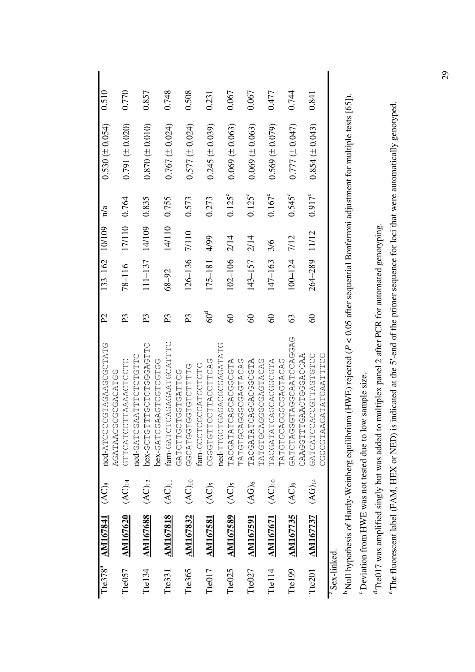|                         | Tte378 <sup>a</sup> AM167841 (AC) <sub>8</sub> |                                          | ned-ATCCCCCAAGAAGCTATG                 | $\mathcal{L}$  | 133-162 10/109 |        | n/a             | $0.530 (\pm 0.054)$   | 0.510 |
|-------------------------|------------------------------------------------|------------------------------------------|----------------------------------------|----------------|----------------|--------|-----------------|-----------------------|-------|
|                         |                                                |                                          | UULKUKUUUUUKKLKUK                      |                |                |        |                 |                       |       |
| Tte057                  | <b>AM167620</b>                                | $(AC)_{14}$                              | CTTCATTAAAACTC                         | $E_{\rm}$      | $78 - 116$     | 17/110 | 0.764           | $0.791 (\pm 0.020)$   | 0.770 |
|                         |                                                |                                          | ned-GAATTTCTCTGTTC                     |                |                |        |                 |                       |       |
| Tte134                  | <b>AM167688</b>                                | $(AC)_{12}$                              | ULLURUUULULUULLUULUU-XAA               | R              | $111 - 137$    | 14/109 | 0.835           | $0.870 (\pm 0.010)$   | 0.857 |
|                         |                                                |                                          | hex-GAAGTCCTCCTCC                      |                |                |        |                 |                       |       |
| Tte331                  | <b>AM167818</b>                                | $(AC)_{11}$                              | fam-GATCAGAGAATGCATTTC                 | R              | $68 - 92$      | 14/110 | 0.755           | $0.767 (\pm 0.024)$   | 0.748 |
|                         |                                                |                                          | UUHHKUHUUHUUHHUHKU                     |                |                |        |                 |                       |       |
| Tte365                  | <b>AM167832</b>                                | $(AC)_{10}$                              | UHHHUHUHUUHUUHKUUU                     | $\mathbb{E}$   | $126 - 136$    | 7/110  | 0.573           | $0.577 (\pm 0.024)$   | 0.508 |
|                         |                                                |                                          | UHUHUUHKUUUUHUUU-tuttu                 |                |                |        |                 |                       |       |
| Tte017                  | <b>AM167581</b>                                | $(AC)$ <sub>5</sub>                      | U KU H H U U K H H U U H H U H U U U U | $60^{\rm d}$   | 175-181        | 4/99   | 0.273           | $0.245 (\pm 0.039)$   | 0.231 |
|                         |                                                |                                          | ned-TTGCACACACAGAGATATG                |                |                |        |                 |                       |       |
| Tte <sub>025</sub>      | <b>AM167589</b>                                | $(AC)$ <sub>5</sub>                      | AHOOOOOAOOAOHAHAOOAH                   | $\Im$          | 102-106        | 2/14   | $0.125^{\circ}$ | $0.069 \ (\pm 0.063)$ | 0.067 |
|                         |                                                |                                          |                                        |                |                |        |                 |                       |       |
| Tte <sub>027</sub>      | <b>AM167591</b>                                | $(AG)_6$                                 | TACGOOCACOROHATACGTA                   | $\rm ^{\circ}$ | 143-157        | 2/14   | $0.125^{\circ}$ | $0.069 \ (\pm 0.063)$ | 0.067 |
|                         |                                                |                                          | URURHURUUUUUUHUHKH                     |                |                |        |                 |                       |       |
| Tte <sub>114</sub>      | <b>AM167671</b>                                | $\overline{(\mathsf{AC})_{10}}$          | TACGACACHATATGUAH                      | $\infty$       | 147-163        | 3/6    | $0.167^c$       | $0.569 \ (\pm 0.079)$ | 0.477 |
|                         |                                                |                                          |                                        |                |                |        |                 |                       |       |
| Tte <sub>199</sub>      | <b>AM167735</b>                                | $\widetilde{\left( \mathrm{AC}\right) }$ | URUURUUHRRUUURHUUURHUHRU               | 63             | $100 - 124$    | 7/12   | $0.545^{\circ}$ | $(0.777 \pm 0.047)$   | 0.744 |
|                         |                                                |                                          | CAAGGACGACCACCAA                       |                |                |        |                 |                       |       |
| Tte <sub>201</sub>      | <b>AM167737</b>                                | $(AG)_{14}$                              | UUHUHUKHHUUUKUUHKUHKU                  | $\infty$       | 264-289        | 11/12  | $0.917^c$       | $0.854 (\pm 0.043)$   | 0.841 |
|                         |                                                |                                          | UUHHHARUHAHAUARHUUUUU                  |                |                |        |                 |                       |       |
| <sup>a</sup> Sex-linked |                                                |                                          |                                        |                |                |        |                 |                       |       |

b Null hypothesis of Hardy-Weinberg equilibrium (HWE) rejected (*P* < 0.05 after sequential Bonferroni adjustment for multiple tests [65]). <sup>b</sup> Null hypothesis of Hardy-Weinberg equilibrium (HWE) rejected (P < 0.05 after sequential Bonferroni adjustment for multiple tests [65]). <sup>6</sup> Deviation from HWE was not tested due to low sample size. c Deviation from HWE was not tested due to low sample size.

<sup>d</sup> Tte017 was amplified singly but was added to multiplex panel 2 after PCR for automated genotyping. d Tte017 was amplified singly but was added to multiplex panel 2 after PCR for automated genotyping.

e The fluorescent label (FAM, HEX or NED) is indicated at the 5′-end of the primer sequence for loci that were automatically genotyped. <sup>e</sup> The fluorescent label (FAM, HEX or NED) is indicated at the 5'-end of the primer sequence for loci that were automatically genotyped.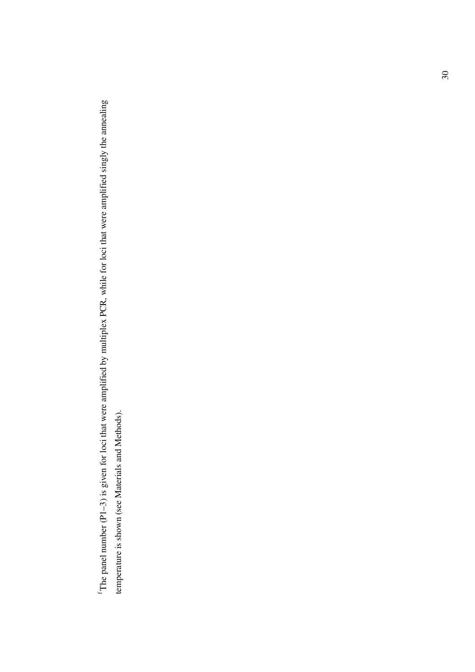$\text{``The panel number (P1-3)}$  is given for loci that were amplified by multiplex PCR, while for loci that were amplified singly the annealing f The panel number (P1–3) is given for loci that were amplified by multiplex PCR, while for loci that were amplified singly the annealing temperature is shown (see Materials and Methods). temperature is shown (see Materials and Methods).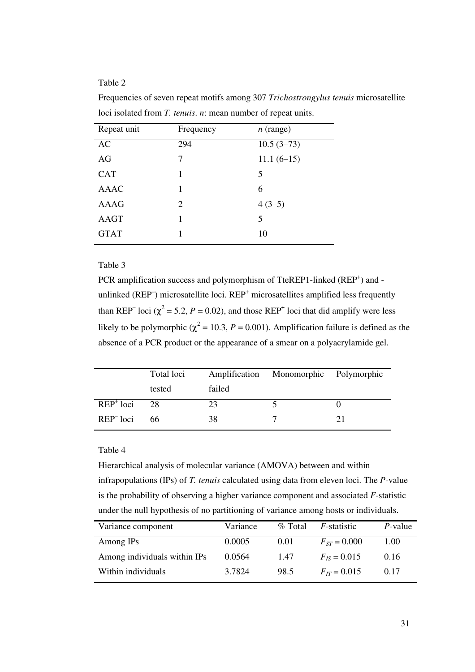# Table 2

| Repeat unit | Frequency | $n$ (range)  |
|-------------|-----------|--------------|
| AC          | 294       | $10.5(3-73)$ |
| AG          | 7         | $11.1(6-15)$ |
| <b>CAT</b>  | 1         | 5            |
| <b>AAAC</b> | 1         | 6            |
| <b>AAAG</b> | 2         | $4(3-5)$     |
| <b>AAGT</b> | 1         | 5            |
| <b>GTAT</b> | 1         | 10           |
|             |           |              |

Frequencies of seven repeat motifs among 307 *Trichostrongylus tenuis* microsatellite loci isolated from *T. tenuis*. *n*: mean number of repeat units.

#### Table 3

PCR amplification success and polymorphism of TteREP1-linked (REP<sup>+</sup>) and unlinked (REP) microsatellite loci. REP<sup>+</sup> microsatellites amplified less frequently than REP<sup>-</sup> loci ( $\chi^2$  = 5.2, *P* = 0.02), and those REP<sup>+</sup> loci that did amplify were less likely to be polymorphic ( $\chi^2$  = 10.3, *P* = 0.001). Amplification failure is defined as the absence of a PCR product or the appearance of a smear on a polyacrylamide gel.

|                                              | Total loci |        | Amplification Monomorphic Polymorphic |  |
|----------------------------------------------|------------|--------|---------------------------------------|--|
|                                              | tested     | failed |                                       |  |
| $\overline{\text{R}}\text{E}\text{P}^+$ loci | 28         | 23     |                                       |  |
| REP <sup>-</sup> loci                        | 66.        | 38     |                                       |  |

#### Table 4

Hierarchical analysis of molecular variance (AMOVA) between and within infrapopulations (IPs) of *T. tenuis* calculated using data from eleven loci. The *P*-value is the probability of observing a higher variance component and associated *F*-statistic under the null hypothesis of no partitioning of variance among hosts or individuals.

| Variance component           | Variance | $\%$ Total | <i>F</i> -statistic | <i>P</i> -value |
|------------------------------|----------|------------|---------------------|-----------------|
| Among IPs                    | 0.0005   | 0.01       | $F_{ST} = 0.000$    | 1.00            |
| Among individuals within IPs | 0.0564   | 1.47       | $F_{IS} = 0.015$    | 0.16            |
| Within individuals           | 3.7824   | 98.5       | $F_{IT} = 0.015$    | 0.17            |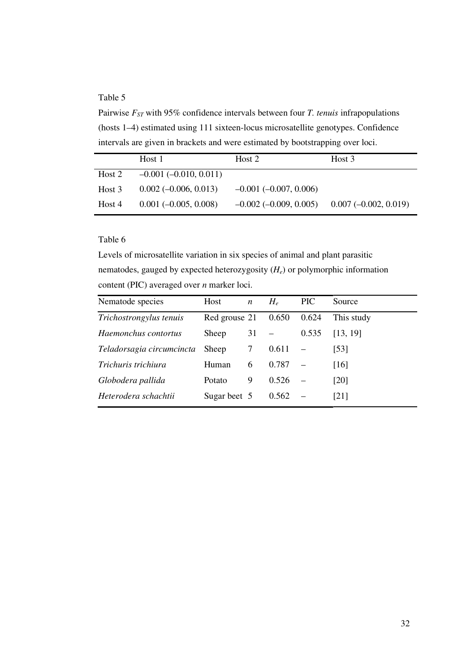# Table 5

Pairwise  $F_{ST}$  with 95% confidence intervals between four *T. tenuis* infrapopulations (hosts 1–4) estimated using 111 sixteen-locus microsatellite genotypes. Confidence intervals are given in brackets and were estimated by bootstrapping over loci.

|        | Host 1                          | Host 2                          | Host 3                 |
|--------|---------------------------------|---------------------------------|------------------------|
| Host 2 | $-0.001$ ( $-0.010$ , $0.011$ ) |                                 |                        |
| Host 3 | $0.002(-0.006, 0.013)$          | $-0.001$ ( $-0.007$ , 0.006)    |                        |
| Host 4 | $0.001 (-0.005, 0.008)$         | $-0.002$ ( $-0.009$ , $0.005$ ) | $0.007(-0.002, 0.019)$ |

# Table 6

Levels of microsatellite variation in six species of animal and plant parasitic nematodes, gauged by expected heterozygosity (*He*) or polymorphic information content (PIC) averaged over *n* marker loci.

| Nematode species          | Host          | $\boldsymbol{n}$ | $H_e$ | <b>PIC</b> | Source     |
|---------------------------|---------------|------------------|-------|------------|------------|
| Trichostrongylus tenuis   | Red grouse 21 |                  | 0.650 | 0.624      | This study |
| Haemonchus contortus      | Sheep         | 31               |       | 0.535      | [13, 19]   |
| Teladorsagia circumcincta | Sheep         | $\mathcal{T}$    | 0.611 |            | [53]       |
| Trichuris trichiura       | Human         | 6                | 0.787 |            | [16]       |
| Globodera pallida         | Potato        | 9                | 0.526 |            | [20]       |
| Heterodera schachtii      | Sugar beet 5  |                  | 0.562 |            | [21]       |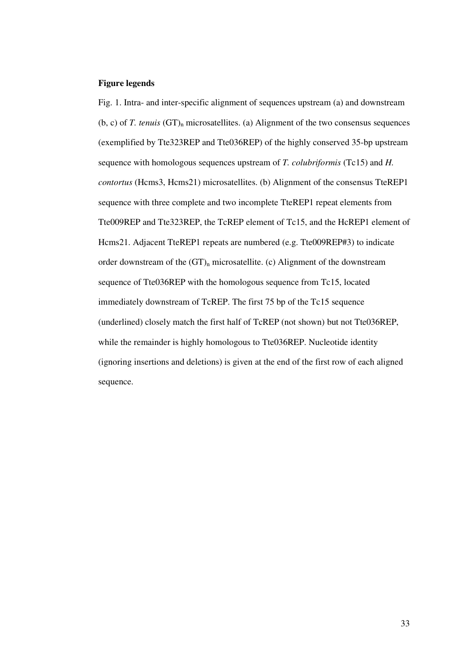# **Figure legends**

Fig. 1. Intra- and inter-specific alignment of sequences upstream (a) and downstream (b, c) of *T. tenuis* (GT)<sub>n</sub> microsatellites. (a) Alignment of the two consensus sequences (exemplified by Tte323REP and Tte036REP) of the highly conserved 35-bp upstream sequence with homologous sequences upstream of *T. colubriformis* (Tc15) and *H. contortus* (Hcms3, Hcms21) microsatellites. (b) Alignment of the consensus TteREP1 sequence with three complete and two incomplete TteREP1 repeat elements from Tte009REP and Tte323REP, the TcREP element of Tc15, and the HcREP1 element of Hcms21. Adjacent TteREP1 repeats are numbered (e.g. Tte009REP#3) to indicate order downstream of the  $(GT)$ <sub>n</sub> microsatellite. (c) Alignment of the downstream sequence of Tte036REP with the homologous sequence from Tc15, located immediately downstream of TcREP. The first 75 bp of the Tc15 sequence (underlined) closely match the first half of TcREP (not shown) but not Tte036REP, while the remainder is highly homologous to Tte036REP. Nucleotide identity (ignoring insertions and deletions) is given at the end of the first row of each aligned sequence.